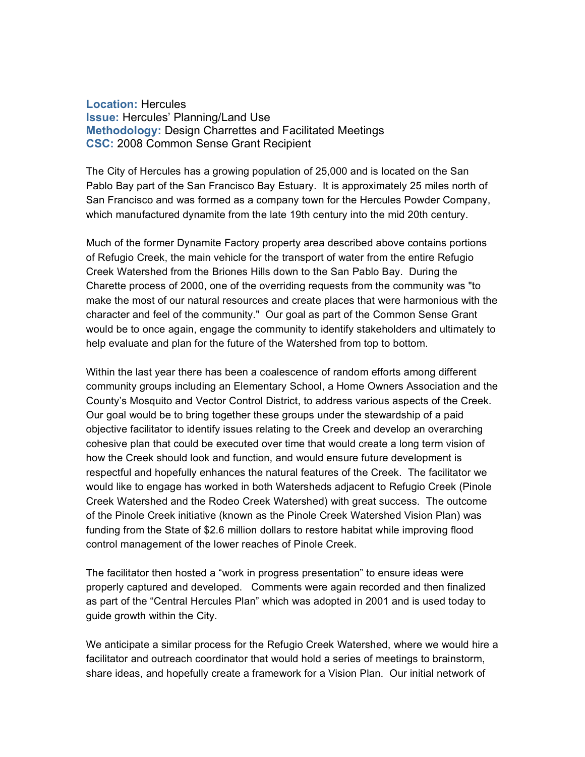**Location:** Hercules **Issue:** Hercules' Planning/Land Use **Methodology:** Design Charrettes and Facilitated Meetings **CSC:** 2008 Common Sense Grant Recipient

The City of Hercules has a growing population of 25,000 and is located on the San Pablo Bay part of the San Francisco Bay Estuary. It is approximately 25 miles north of San Francisco and was formed as a company town for the Hercules Powder Company, which manufactured dynamite from the late 19th century into the mid 20th century.

Much of the former Dynamite Factory property area described above contains portions of Refugio Creek, the main vehicle for the transport of water from the entire Refugio Creek Watershed from the Briones Hills down to the San Pablo Bay. During the Charette process of 2000, one of the overriding requests from the community was "to make the most of our natural resources and create places that were harmonious with the character and feel of the community." Our goal as part of the Common Sense Grant would be to once again, engage the community to identify stakeholders and ultimately to help evaluate and plan for the future of the Watershed from top to bottom.

Within the last year there has been a coalescence of random efforts among different community groups including an Elementary School, a Home Owners Association and the County's Mosquito and Vector Control District, to address various aspects of the Creek. Our goal would be to bring together these groups under the stewardship of a paid objective facilitator to identify issues relating to the Creek and develop an overarching cohesive plan that could be executed over time that would create a long term vision of how the Creek should look and function, and would ensure future development is respectful and hopefully enhances the natural features of the Creek. The facilitator we would like to engage has worked in both Watersheds adjacent to Refugio Creek (Pinole Creek Watershed and the Rodeo Creek Watershed) with great success. The outcome of the Pinole Creek initiative (known as the Pinole Creek Watershed Vision Plan) was funding from the State of \$2.6 million dollars to restore habitat while improving flood control management of the lower reaches of Pinole Creek.

The facilitator then hosted a "work in progress presentation" to ensure ideas were properly captured and developed. Comments were again recorded and then finalized as part of the "Central Hercules Plan" which was adopted in 2001 and is used today to guide growth within the City.

We anticipate a similar process for the Refugio Creek Watershed, where we would hire a facilitator and outreach coordinator that would hold a series of meetings to brainstorm, share ideas, and hopefully create a framework for a Vision Plan. Our initial network of